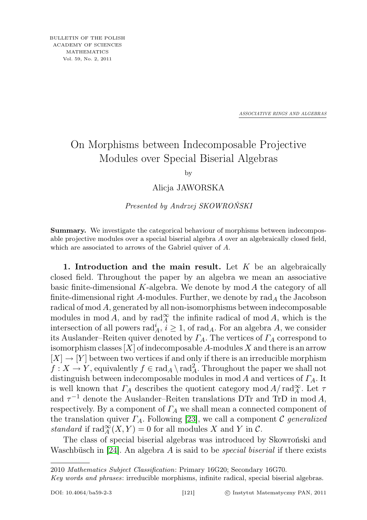*ASSOCIATIVE RINGS AND ALGEBRAS*

## On Morphisms between Indecomposable Projective Modules over Special Biserial Algebras

by

Alicja JAWORSKA

Presented by Andrzej SKOWROŃSKI

Summary. We investigate the categorical behaviour of morphisms between indecomposable projective modules over a special biserial algebra A over an algebraically closed field, which are associated to arrows of the Gabriel quiver of A.

1. Introduction and the main result. Let  $K$  be an algebraically closed field. Throughout the paper by an algebra we mean an associative basic finite-dimensional  $K$ -algebra. We denote by  $mod A$  the category of all finite-dimensional right A-modules. Further, we denote by  $\text{rad}_A$  the Jacobson radical of mod A, generated by all non-isomorphisms between indecomposable modules in  $\text{mod } A$ , and by  $\text{rad}_A^{\infty}$  the infinite radical of  $\text{mod } A$ , which is the intersection of all powers  $\text{rad}_A^i$ ,  $i \geq 1$ , of  $\text{rad}_A$ . For an algebra A, we consider its Auslander–Reiten quiver denoted by  $\Gamma_A$ . The vertices of  $\Gamma_A$  correspond to isomorphism classes  $[X]$  of indecomposable A-modules X and there is an arrow  $[X] \to [Y]$  between two vertices if and only if there is an irreducible morphism  $f: X \to Y$ , equivalently  $f \in \text{rad}_A \setminus \text{rad}_A^2$ . Throughout the paper we shall not distinguish between indecomposable modules in mod A and vertices of  $\Gamma_A$ . It is well known that  $\Gamma_A$  describes the quotient category  $\text{mod } A/\text{rad}_A^{\infty}$ . Let  $\tau$ and  $\tau^{-1}$  denote the Auslander–Reiten translations DTr and TrD in mod A, respectively. By a component of  $\Gamma_A$  we shall mean a connected component of the translation quiver  $\Gamma_A$ . Following [\[23\]](#page-11-0), we call a component C generalized standard if  $\text{rad}_{A}^{\infty}(X, Y) = 0$  for all modules X and Y in C.

The class of special biserial algebras was introduced by Skowroński and Waschbüsch in [\[24\]](#page-11-1). An algebra A is said to be *special biserial* if there exists

<sup>2010</sup> Mathematics Subject Classification: Primary 16G20; Secondary 16G70.

Key words and phrases: irreducible morphisms, infinite radical, special biserial algebras.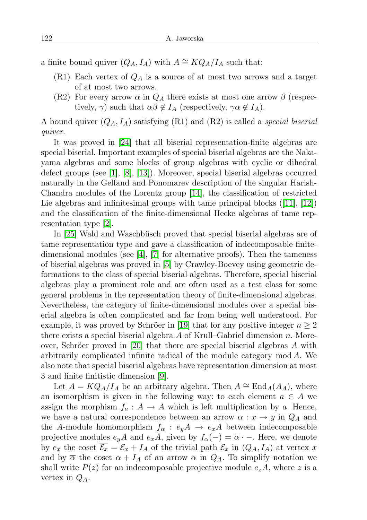a finite bound quiver  $(Q_A, I_A)$  with  $A \cong KQ_A/I_A$  such that:

- $(R1)$  Each vertex of  $Q_A$  is a source of at most two arrows and a target of at most two arrows.
- (R2) For every arrow  $\alpha$  in  $Q_A$  there exists at most one arrow  $\beta$  (respectively,  $\gamma$ ) such that  $\alpha\beta \notin I_A$  (respectively,  $\gamma \alpha \notin I_A$ ).

A bound quiver  $(Q_A, I_A)$  satisfying  $(R1)$  and  $(R2)$  is called a *special biserial* quiver.

It was proved in [\[24\]](#page-11-1) that all biserial representation-finite algebras are special biserial. Important examples of special biserial algebras are the Nakayama algebras and some blocks of group algebras with cyclic or dihedral defect groups (see [\[1\]](#page-10-0), [\[8\]](#page-10-1), [\[13\]](#page-11-2)). Moreover, special biserial algebras occurred naturally in the Gelfand and Ponomarev description of the singular Harish-Chandra modules of the Lorentz group [\[14\]](#page-11-3), the classification of restricted Lie algebras and infinitesimal groups with tame principal blocks ([\[11\]](#page-10-2), [\[12\]](#page-10-3)) and the classification of the finite-dimensional Hecke algebras of tame representation type [\[2\]](#page-10-4).

In [\[25\]](#page-11-4) Wald and Waschbüsch proved that special biserial algebras are of tame representation type and gave a classification of indecomposable finitedimensional modules (see [\[4\]](#page-10-5), [\[7\]](#page-10-6) for alternative proofs). Then the tameness of biserial algebras was proved in [\[5\]](#page-10-7) by Crawley-Boevey using geometric deformations to the class of special biserial algebras. Therefore, special biserial algebras play a prominent role and are often used as a test class for some general problems in the representation theory of finite-dimensional algebras. Nevertheless, the category of finite-dimensional modules over a special biserial algebra is often complicated and far from being well understood. For example, it was proved by Schröer in [\[19\]](#page-11-5) that for any positive integer  $n \geq 2$ there exists a special biserial algebra  $A$  of Krull–Gabriel dimension  $n$ . Moreover, Schröer proved in [\[20\]](#page-11-6) that there are special biserial algebras A with arbitrarily complicated infinite radical of the module category mod A. We also note that special biserial algebras have representation dimension at most 3 and finite finitistic dimension [\[9\]](#page-10-8).

Let  $A = KQ_A/I_A$  be an arbitrary algebra. Then  $A \cong \text{End}_A(A_A)$ , where an isomorphism is given in the following way: to each element  $a \in A$  we assign the morphism  $f_a: A \to A$  which is left multiplication by a. Hence, we have a natural correspondence between an arrow  $\alpha : x \to y$  in  $Q_A$  and the A-module homomorphism  $f_{\alpha}: e_y A \rightarrow e_x A$  between indecomposable projective modules  $e_yA$  and  $e_xA$ , given by  $f_\alpha(-) = \overline{\alpha} -$ . Here, we denote by  $e_x$  the coset  $\overline{\mathcal{E}_x} = \mathcal{E}_x + I_A$  of the trivial path  $\mathcal{E}_x$  in  $(Q_A, I_A)$  at vertex x and by  $\bar{\alpha}$  the coset  $\alpha + I_A$  of an arrow  $\alpha$  in  $Q_A$ . To simplify notation we shall write  $P(z)$  for an indecomposable projective module  $e_zA$ , where z is a vertex in  $Q_A$ .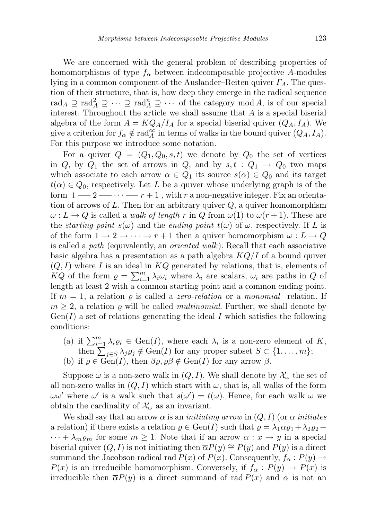We are concerned with the general problem of describing properties of homomorphisms of type  $f_{\alpha}$  between indecomposable projective A-modules lying in a common component of the Auslander–Reiten quiver  $\Gamma_A$ . The question of their structure, that is, how deep they emerge in the radical sequence rad<sub>A</sub>  $\supseteq$  rad<sub>A</sub>  $\supseteq$   $\cdots$   $\supseteq$  rad<sub>A</sub>  $\supseteq$   $\cdots$  of the category mod A, is of our special interest. Throughout the article we shall assume that A is a special biserial algebra of the form  $A = KQ_A/I_A$  for a special biserial quiver  $(Q_A, I_A)$ . We give a criterion for  $f_{\alpha} \notin \text{rad}_{A}^{\infty}$  in terms of walks in the bound quiver  $(Q_{A}, I_{A})$ . For this purpose we introduce some notation.

For a quiver  $Q = (Q_1, Q_0, s, t)$  we denote by  $Q_0$  the set of vertices in Q, by  $Q_1$  the set of arrows in Q, and by  $s, t : Q_1 \rightarrow Q_0$  two maps which associate to each arrow  $\alpha \in Q_1$  its source  $s(\alpha) \in Q_0$  and its target  $t(\alpha) \in Q_0$ , respectively. Let L be a quiver whose underlying graph is of the form  $1 - 2 - \cdots - r + 1$ , with r a non-negative integer. Fix an orientation of arrows of L. Then for an arbitrary quiver  $Q$ , a quiver homomorphism  $\omega: L \to Q$  is called a *walk of length* r in Q from  $\omega(1)$  to  $\omega(r+1)$ . These are the *starting point*  $s(\omega)$  and the *ending point*  $t(\omega)$  of  $\omega$ , respectively. If L is of the form  $1 \to 2 \to \cdots \to r+1$  then a quiver homomorphism  $\omega: L \to Q$ is called a path (equivalently, an oriented walk). Recall that each associative basic algebra has a presentation as a path algebra  $KQ/I$  of a bound quiver  $(Q, I)$  where I is an ideal in KQ generated by relations, that is, elements of  $KQ$  of the form  $\rho = \sum_{i=1}^{m} \lambda_i \omega_i$  where  $\lambda_i$  are scalars,  $\omega_i$  are paths in Q of length at least 2 with a common starting point and a common ending point. If  $m = 1$ , a relation  $\rho$  is called a *zero-relation* or a *monomial* relation. If  $m \geq 2$ , a relation  $\rho$  will be called *multinomial*. Further, we shall denote by  $Gen(I)$  a set of relations generating the ideal I which satisfies the following conditions:

(a) if  $\sum_{i=1}^{m} \lambda_i \varrho_i \in \text{Gen}(I)$ , where each  $\lambda_i$  is a non-zero element of K, then  $\sum_{j\in S}\lambda_j\varrho_j\notin \text{Gen}(I)$  for any proper subset  $S\subset\{1,\ldots,m\};$ (b) if  $\varrho \in \text{Gen}(I)$ , then  $\beta \varrho, \varrho \beta \notin \text{Gen}(I)$  for any arrow  $\beta$ .

Suppose  $\omega$  is a non-zero walk in  $(Q, I)$ . We shall denote by  $\mathcal{X}_{\omega}$  the set of all non-zero walks in  $(Q, I)$  which start with  $\omega$ , that is, all walks of the form  $\omega \omega'$  where  $\omega'$  is a walk such that  $s(\omega') = t(\omega)$ . Hence, for each walk  $\omega$  we obtain the cardinality of  $\mathcal{X}_{\omega}$  as an invariant.

We shall say that an arrow  $\alpha$  is an *initiating arrow* in  $(Q, I)$  (or  $\alpha$  *initiates* a relation) if there exists a relation  $\varrho \in \text{Gen}(I)$  such that  $\varrho = \lambda_1 \alpha \varrho_1 + \lambda_2 \varrho_2 +$  $\cdots + \lambda_m \varrho_m$  for some  $m \geq 1$ . Note that if an arrow  $\alpha : x \to y$  in a special biserial quiver  $(Q, I)$  is not initiating then  $\overline{\alpha}P(y) \cong P(y)$  and  $P(y)$  is a direct summand the Jacobson radical rad  $P(x)$  of  $P(x)$ . Consequently,  $f_{\alpha}: P(y) \rightarrow$  $P(x)$  is an irreducible homomorphism. Conversely, if  $f_{\alpha}: P(y) \to P(x)$  is irreducible then  $\overline{\alpha}P(y)$  is a direct summand of rad  $P(x)$  and  $\alpha$  is not an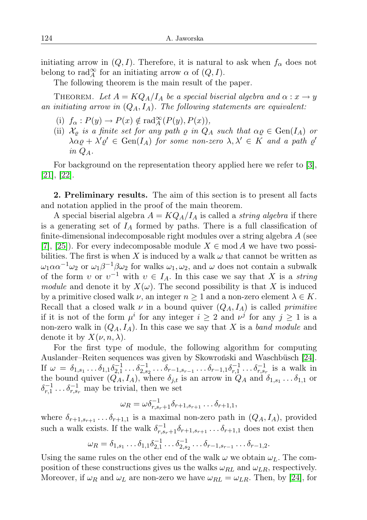initiating arrow in  $(Q, I)$ . Therefore, it is natural to ask when  $f_{\alpha}$  does not belong to rad $_A^{\infty}$  for an initiating arrow  $\alpha$  of  $(Q, I)$ .

The following theorem is the main result of the paper.

THEOREM. Let  $A = KQ_A/I_A$  be a special biserial algebra and  $\alpha: x \to y$ an initiating arrow in  $(Q_A, I_A)$ . The following statements are equivalent:

- (i)  $f_{\alpha}: P(y) \to P(x) \notin \text{rad}_{A}^{\infty}(P(y), P(x)),$
- (ii)  $\mathcal{X}_{\rho}$  is a finite set for any path  $\rho$  in  $Q_A$  such that  $\alpha \rho \in \text{Gen}(I_A)$  or  $\lambda \alpha \varrho + \lambda' \varrho' \in \text{Gen}(I_A)$  for some non-zero  $\lambda, \lambda' \in K$  and a path  $\varrho'$ in  $Q_A$ .

For background on the representation theory applied here we refer to [\[3\]](#page-10-9), [\[21\]](#page-11-7), [\[22\]](#page-11-8).

2. Preliminary results. The aim of this section is to present all facts and notation applied in the proof of the main theorem.

A special biserial algebra  $A = KQ_A/I_A$  is called a *string algebra* if there is a generating set of  $I_A$  formed by paths. There is a full classification of finite-dimensional indecomposable right modules over a string algebra A (see [\[7\]](#page-10-6), [\[25\]](#page-11-4)). For every indecomposable module  $X \in \text{mod } A$  we have two possibilities. The first is when X is induced by a walk  $\omega$  that cannot be written as  $\omega_1 \alpha \alpha^{-1} \omega_2$  or  $\omega_1 \beta^{-1} \beta \omega_2$  for walks  $\omega_1, \omega_2$ , and  $\omega$  does not contain a subwalk of the form v or  $v^{-1}$  with  $v \in I_A$ . In this case we say that X is a string module and denote it by  $X(\omega)$ . The second possibility is that X is induced by a primitive closed walk  $\nu$ , an integer  $n \geq 1$  and a non-zero element  $\lambda \in K$ . Recall that a closed walk  $\nu$  in a bound quiver  $(Q_A, I_A)$  is called *primitive* if it is not of the form  $\mu^i$  for any integer  $i \geq 2$  and  $\nu^j$  for any  $j \geq 1$  is a non-zero walk in  $(Q_A, I_A)$ . In this case we say that X is a band module and denote it by  $X(\nu, n, \lambda)$ .

For the first type of module, the following algorithm for computing Auslander–Reiten sequences was given by Skowroński and Waschbüsch [\[24\]](#page-11-1). If  $\omega = \delta_{1,s_1} \dots \delta_{1,1} \delta_{2,1}^{-1} \dots \delta_{2,s_2}^{-1} \dots \delta_{r-1,s_{r-1}} \dots \delta_{r-1,1} \delta_{r,1}^{-1} \dots \delta_{r,s_r}^{-1}$  is a walk in the bound quiver  $(Q_A, I_A)$ , where  $\delta_{j,t}$  is an arrow in  $Q_A$  and  $\delta_{1,s_1} \dots \delta_{1,1}$  or  $\delta_{r,1}^{-1} \ldots \delta_{r,s_r}^{-1}$  may be trivial, then we set

$$
\omega_R = \omega \delta_{r,s_r+1}^{-1} \delta_{r+1,s_{r+1}} \dots \delta_{r+1,1},
$$

where  $\delta_{r+1,s_{r+1}} \ldots \delta_{r+1,1}$  is a maximal non-zero path in  $(Q_A, I_A)$ , provided such a walk exists. If the walk  $\delta_{r,s_r+1}^{-1}\delta_{r+1,s_{r+1}}\ldots\delta_{r+1,1}$  does not exist then

$$
\omega_R = \delta_{1,s_1} \dots \delta_{1,1} \delta_{2,1}^{-1} \dots \delta_{2,s_2}^{-1} \dots \delta_{r-1,s_{r-1}} \dots \delta_{r-1,2}.
$$

Using the same rules on the other end of the walk  $\omega$  we obtain  $\omega_L$ . The composition of these constructions gives us the walks  $\omega_{RL}$  and  $\omega_{LR}$ , respectively. Moreover, if  $\omega_R$  and  $\omega_L$  are non-zero we have  $\omega_{RL} = \omega_{LR}$ . Then, by [\[24\]](#page-11-1), for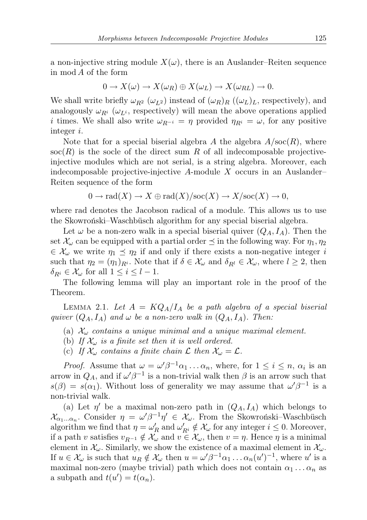a non-injective string module  $X(\omega)$ , there is an Auslander–Reiten sequence in mod A of the form

$$
0 \to X(\omega) \to X(\omega_R) \oplus X(\omega_L) \to X(\omega_{RL}) \to 0.
$$

We shall write briefly  $\omega_{R^2}$  ( $\omega_{L^2}$ ) instead of  $(\omega_R)_R$  ( $(\omega_L)_L$ , respectively), and analogously  $\omega_{R^i}$  ( $\omega_{L^i}$ , respectively) will mean the above operations applied i times. We shall also write  $\omega_{R^{-i}} = \eta$  provided  $\eta_{R^i} = \omega$ , for any positive integer i.

Note that for a special biserial algebra A the algebra  $A/\text{soc}(R)$ , where  $\operatorname{soc}(R)$  is the socle of the direct sum R of all indecomposable projectiveinjective modules which are not serial, is a string algebra. Moreover, each indecomposable projective-injective A-module X occurs in an Auslander– Reiten sequence of the form

$$
0 \to \mathrm{rad}(X) \to X \oplus \mathrm{rad}(X)/\mathrm{soc}(X) \to X/\mathrm{soc}(X) \to 0,
$$

where rad denotes the Jacobson radical of a module. This allows us to use the Skowroński–Waschbüsch algorithm for any special biserial algebra.

Let  $\omega$  be a non-zero walk in a special biserial quiver  $(Q_A, I_A)$ . Then the set  $\mathcal{X}_{\omega}$  can be equipped with a partial order  $\preceq$  in the following way. For  $\eta_1, \eta_2$  $\in \mathcal{X}_{\omega}$  we write  $\eta_1 \preceq \eta_2$  if and only if there exists a non-negative integer i such that  $\eta_2 = (\eta_1)_{R^i}$ . Note that if  $\delta \in \mathcal{X}_{\omega}$  and  $\delta_{R^l} \in \mathcal{X}_{\omega}$ , where  $l \geq 2$ , then  $\delta_{R_i} \in \mathcal{X}_{\omega}$  for all  $1 \leq i \leq l-1$ .

The following lemma will play an important role in the proof of the Theorem.

<span id="page-4-0"></span>LEMMA 2.1. Let  $A = KQ_A/I_A$  be a path algebra of a special biserial quiver  $(Q_A, I_A)$  and  $\omega$  be a non-zero walk in  $(Q_A, I_A)$ . Then:

- (a)  $\mathcal{X}_{\omega}$  contains a unique minimal and a unique maximal element.
- (b) If  $\mathcal{X}_{\omega}$  is a finite set then it is well ordered.
- (c) If  $\mathcal{X}_{\omega}$  contains a finite chain  $\mathcal{L}$  then  $\mathcal{X}_{\omega} = \mathcal{L}$ .

*Proof.* Assume that  $\omega = \omega' \beta^{-1} \alpha_1 \dots \alpha_n$ , where, for  $1 \leq i \leq n$ ,  $\alpha_i$  is an arrow in  $Q_A$ , and if  $\omega' \beta^{-1}$  is a non-trivial walk then  $\beta$  is an arrow such that  $s(\beta) = s(\alpha_1)$ . Without loss of generality we may assume that  $\omega' \beta^{-1}$  is a non-trivial walk.

(a) Let  $\eta'$  be a maximal non-zero path in  $(Q_A, I_A)$  which belongs to  $\mathcal{X}_{\alpha_1...\alpha_n}$ . Consider  $\eta = \omega'\beta^{-1}\eta' \in \mathcal{X}_{\omega}$ . From the Skowroński-Waschbüsch algorithm we find that  $\eta = \omega'_R$  and  $\omega'_{R^i} \notin \mathcal{X}_{\omega}$  for any integer  $i \leq 0$ . Moreover, if a path v satisfies  $v_{R^{-1}} \notin \mathcal{X}_{\omega}$  and  $v \in \mathcal{X}_{\omega}$ , then  $v = \eta$ . Hence  $\eta$  is a minimal element in  $\mathcal{X}_{\omega}$ . Similarly, we show the existence of a maximal element in  $\mathcal{X}_{\omega}$ . If  $u \in \mathcal{X}_{\omega}$  is such that  $u_R \notin \mathcal{X}_{\omega}$  then  $u = \omega' \beta^{-1} \alpha_1 \dots \alpha_n (u')^{-1}$ , where u' is a maximal non-zero (maybe trivial) path which does not contain  $\alpha_1 \dots \alpha_n$  as a subpath and  $t(u') = t(\alpha_n)$ .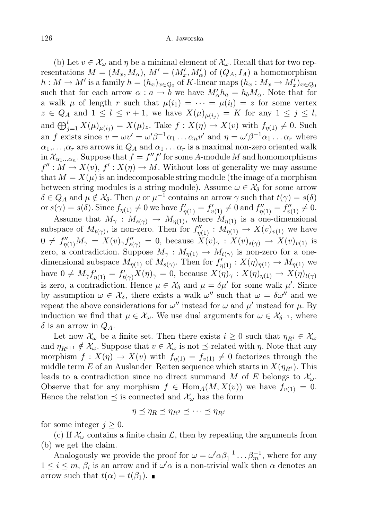(b) Let  $v \in \mathcal{X}_{\omega}$  and  $\eta$  be a minimal element of  $\mathcal{X}_{\omega}$ . Recall that for two representations  $M = (M_x, M_\alpha)$ ,  $M' = (M'_x, M'_\alpha)$  of  $(Q_A, I_A)$  a homomorphism  $h: M \to M'$  is a family  $h = (h_x)_{x \in Q_0}$  of K-linear maps  $(h_x: M_x \to M'_x)_{x \in Q_0}$ such that for each arrow  $\alpha : a \to b$  we have  $M'_\alpha h_a = h_b M_\alpha$ . Note that for a walk  $\mu$  of length r such that  $\mu(i_1) = \cdots = \mu(i_l) = z$  for some vertex  $z \in Q_A$  and  $1 \leq l \leq r+1$ , we have  $X(\mu)_{\mu(i_j)} = K$  for any  $1 \leq j \leq l$ , and  $\bigoplus_{j=1}^{l} X(\mu)_{\mu(i_j)} = X(\mu)_z$ . Take  $f: X(\eta) \to X(v)$  with  $f_{\eta(1)} \neq 0$ . Such an f exists since  $v = \omega v' = \omega' \beta^{-1} \alpha_1 \dots \alpha_n v'$  and  $\eta = \omega' \beta^{-1} \alpha_1 \dots \alpha_r$  where  $\alpha_1,\ldots,\alpha_r$  are arrows in  $Q_A$  and  $\alpha_1\ldots\alpha_r$  is a maximal non-zero oriented walk  $\text{in } \mathcal{X}_{\alpha_1...\alpha_n}$ . Suppose that  $f = f''f'$  for some A-module M and homomorphisms  $f'' : M \to X(v)$ ,  $f' : X(\eta) \to M$ . Without loss of generality we may assume that  $M = X(\mu)$  is an indecomposable string module (the image of a morphism between string modules is a string module). Assume  $\omega \in \mathcal{X}_{\delta}$  for some arrow  $\delta \in Q_A$  and  $\mu \notin \mathcal{X}_{\delta}$ . Then  $\mu$  or  $\mu^{-1}$  contains an arrow  $\gamma$  such that  $t(\gamma) = s(\delta)$ or  $s(\gamma) = s(\delta)$ . Since  $f_{\eta(1)} \neq 0$  we have  $f'_{\eta(1)} = f'_{v(1)} \neq 0$  and  $f''_{\eta(1)} = f''_{v(1)} \neq 0$ .

Assume that  $M_{\gamma}: M_{s(\gamma)} \to M_{\eta(1)}$ , where  $M_{\eta(1)}$  is a one-dimensional subspace of  $M_{t(\gamma)}$ , is non-zero. Then for  $f''_{\eta(1)} : M_{\eta(1)} \to X(v)_{v(1)}$  we have  $0 \neq f''_{\eta(1)}M_{\gamma} = X(v)_{\gamma}f''_{s(\gamma)} = 0$ , because  $\hat{X}(v)_{\gamma} : X(v)_{s(\gamma)} \to X(v)_{v(1)}$  is zero, a contradiction. Suppose  $M_{\gamma}: M_{\eta(1)} \to M_{t(\gamma)}$  is non-zero for a onedimensional subspace  $M_{\eta(1)}$  of  $M_{s(\gamma)}$ . Then for  $f_{\eta(1)}^{(\gamma)} : X(\eta)_{\eta(1)} \to M_{\eta(1)}$  we have  $0 \neq M_{\gamma} f'_{\eta(1)} = f'_{t(\gamma)} X(\eta)_{\gamma} = 0$ , because  $X(\eta)_{\gamma} : X(\eta)_{\eta(1)} \to X(\eta)_{t(\gamma)}$ is zero, a contradiction. Hence  $\mu \in \mathcal{X}_{\delta}$  and  $\mu = \delta \mu'$  for some walk  $\mu'$ . Since by assumption  $\omega \in \mathcal{X}_{\delta}$ , there exists a walk  $\omega''$  such that  $\omega = \delta \omega''$  and we repeat the above considerations for  $\omega''$  instead for  $\omega$  and  $\mu'$  instead for  $\mu$ . By induction we find that  $\mu \in \mathcal{X}_{\omega}$ . We use dual arguments for  $\omega \in \mathcal{X}_{\delta^{-1}}$ , where  $\delta$  is an arrow in  $Q_A$ .

Let now  $\mathcal{X}_{\omega}$  be a finite set. Then there exists  $i \geq 0$  such that  $\eta_{R_i} \in \mathcal{X}_{\omega}$ and  $\eta_{R^{i+1}} \notin \mathcal{X}_{\omega}$ . Suppose that  $v \in \mathcal{X}_{\omega}$  is not  $\preceq$ -related with  $\eta$ . Note that any morphism  $f: X(\eta) \to X(v)$  with  $f_{\eta(1)} = f_{v(1)} \neq 0$  factorizes through the middle term E of an Auslander–Reiten sequence which starts in  $X(\eta_{R_i})$ . This leads to a contradiction since no direct summand M of E belongs to  $\mathcal{X}_{\omega}$ . Observe that for any morphism  $f \in \text{Hom}_A(M, X(v))$  we have  $f_{v(1)} = 0$ . Hence the relation  $\preceq$  is connected and  $\mathcal{X}_{\omega}$  has the form

$$
\eta \preceq \eta_R \preceq \eta_{R^2} \preceq \cdots \preceq \eta_{R^j}
$$

for some integer  $j \geq 0$ .

(c) If  $\mathcal{X}_{\omega}$  contains a finite chain  $\mathcal{L}$ , then by repeating the arguments from (b) we get the claim.

Analogously we provide the proof for  $\omega = \omega' \alpha \beta_1^{-1} \dots \beta_m^{-1}$ , where for any  $1 \leq i \leq m, \beta_i$  is an arrow and if  $\omega' \alpha$  is a non-trivial walk then  $\alpha$  denotes an arrow such that  $t(\alpha) = t(\beta_1)$ .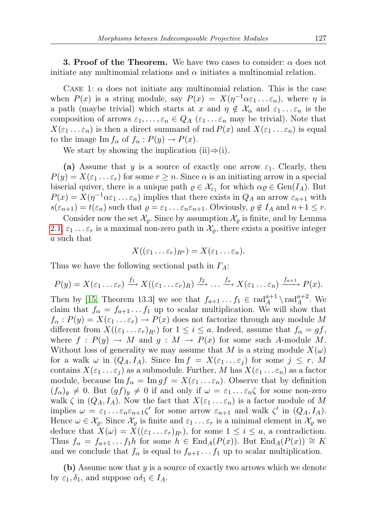**3. Proof of the Theorem.** We have two cases to consider:  $\alpha$  does not initiate any multinomial relations and  $\alpha$  initiates a multinomial relation.

CASE 1:  $\alpha$  does not initiate any multinomial relation. This is the case when  $P(x)$  is a string module, say  $P(x) = X(\eta^{-1}\alpha \varepsilon_1 \ldots \varepsilon_n)$ , where  $\eta$  is a path (maybe trivial) which starts at x and  $\eta \notin \mathcal{X}_{\alpha}$  and  $\varepsilon_1 ... \varepsilon_n$  is the composition of arrows  $\varepsilon_1, \ldots, \varepsilon_n \in Q_A$  ( $\varepsilon_1 \ldots \varepsilon_n$  may be trivial). Note that  $X(\varepsilon_1 \ldots \varepsilon_n)$  is then a direct summand of rad  $P(x)$  and  $X(\varepsilon_1 \ldots \varepsilon_n)$  is equal to the image  $\text{Im } f_{\alpha}$  of  $f_{\alpha} : P(y) \to P(x)$ .

We start by showing the implication (ii) $\Rightarrow$ (i).

(a) Assume that y is a source of exactly one arrow  $\varepsilon_1$ . Clearly, then  $P(y) = X(\varepsilon_1 \dots \varepsilon_r)$  for some  $r \geq n$ . Since  $\alpha$  is an initiating arrow in a special biserial quiver, there is a unique path  $\rho \in \mathcal{X}_{\varepsilon_1}$  for which  $\alpha \rho \in \text{Gen}(I_A)$ . But  $P(x) = X(\eta^{-1}\alpha \varepsilon_1 \dots \varepsilon_n)$  implies that there exists in  $Q_A$  an arrow  $\varepsilon_{n+1}$  with  $s(\varepsilon_{n+1}) = t(\varepsilon_n)$  such that  $\varrho = \varepsilon_1 \dots \varepsilon_n \varepsilon_{n+1}$ . Obviously,  $\varrho \notin I_A$  and  $n+1 \leq r$ .

Consider now the set  $\mathcal{X}_{\rho}$ . Since by assumption  $\mathcal{X}_{\rho}$  is finite, and by Lemma [2.1,](#page-4-0)  $\varepsilon_1 \ldots \varepsilon_r$  is a maximal non-zero path in  $\mathcal{X}_{\varrho}$ , there exists a positive integer a such that

$$
X((\varepsilon_1 \ldots \varepsilon_r)_{R^a}) = X(\varepsilon_1 \ldots \varepsilon_n).
$$

Thus we have the following sectional path in  $\Gamma_A$ :

$$
P(y) = X(\varepsilon_1 \dots \varepsilon_r) \xrightarrow{f_1} X((\varepsilon_1 \dots \varepsilon_r)_R) \xrightarrow{f_2} \dots \xrightarrow{f_a} X(\varepsilon_1 \dots \varepsilon_n) \xrightarrow{f_{a+1}} P(x).
$$

Then by [\[15,](#page-11-9) Theorem 13.3] we see that  $f_{a+1} \ldots f_1 \in \text{rad}_A^{a+1} \setminus \text{rad}_A^{a+2}$ . We claim that  $f_{\alpha} = f_{a+1} \dots f_1$  up to scalar multiplication. We will show that  $f_{\alpha}: P(y) = X(\varepsilon_1 \dots \varepsilon_r) \to P(x)$  does not factorize through any module M different from  $X((\varepsilon_1 \ldots \varepsilon_r)_{R_i})$  for  $1 \leq i \leq a$ . Indeed, assume that  $f_\alpha = gf$ , where  $f : P(y) \to M$  and  $g : M \to P(x)$  for some such A-module M. Without loss of generality we may assume that M is a string module  $X(\omega)$ for a walk  $\omega$  in  $(Q_A, I_A)$ . Since  $\text{Im } f = X(\varepsilon_1 \dots \varepsilon_j)$  for some  $j \leq r$ , M contains  $X(\varepsilon_1 \ldots \varepsilon_i)$  as a submodule. Further, M has  $X(\varepsilon_1 \ldots \varepsilon_n)$  as a factor module, because  $\text{Im } f_{\alpha} = \text{Im } gf = X(\varepsilon_1 \dots \varepsilon_n)$ . Observe that by definition  $(f_{\alpha})_y \neq 0$ . But  $(gf)_y \neq 0$  if and only if  $\omega = \varepsilon_1 \dots \varepsilon_n \zeta$  for some non-zero walk  $\zeta$  in  $(Q_A, I_A)$ . Now the fact that  $X(\varepsilon_1 \dots \varepsilon_n)$  is a factor module of M implies  $\omega = \varepsilon_1 \dots \varepsilon_n \varepsilon_{n+1} \zeta'$  for some arrow  $\varepsilon_{n+1}$  and walk  $\zeta'$  in  $(Q_A, I_A)$ . Hence  $\omega \in \mathcal{X}_o$ . Since  $\mathcal{X}_o$  is finite and  $\varepsilon_1 \dots \varepsilon_r$  is a minimal element in  $\mathcal{X}_o$  we deduce that  $X(\omega) = X((\varepsilon_1 \dots \varepsilon_r)_{R_i})$ , for some  $1 \leq i \leq a$ , a contradiction. Thus  $f_{\alpha} = f_{a+1} \dots f_1 h$  for some  $h \in \text{End}_A(P(x))$ . But  $\text{End}_A(P(x)) \cong K$ and we conclude that  $f_{\alpha}$  is equal to  $f_{a+1} \ldots f_1$  up to scalar multiplication.

(b) Assume now that  $y$  is a source of exactly two arrows which we denote by  $\varepsilon_1, \delta_1$ , and suppose  $\alpha \delta_1 \in I_A$ .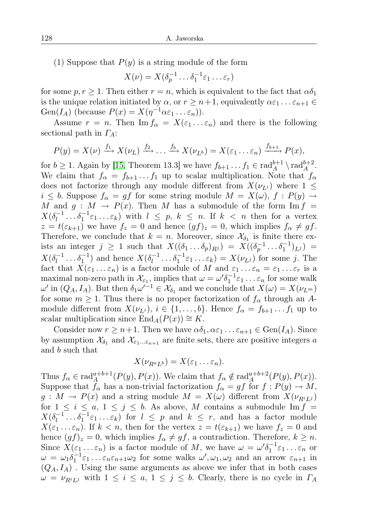(1) Suppose that  $P(y)$  is a string module of the form

$$
X(\nu) = X(\delta_p^{-1} \dots \delta_1^{-1} \varepsilon_1 \dots \varepsilon_r)
$$

for some  $p, r \geq 1$ . Then either  $r = n$ , which is equivalent to the fact that  $\alpha \delta_1$ is the unique relation initiated by  $\alpha$ , or  $r \geq n+1$ , equivalently  $\alpha \varepsilon_1 \dots \varepsilon_{n+1} \in$ Gen( $I_A$ ) (because  $P(x) = X(\eta^{-1}\alpha \varepsilon_1 \ldots \varepsilon_n)$ ).

Assume  $r = n$ . Then Im  $f_{\alpha} = X(\varepsilon_1 \dots \varepsilon_n)$  and there is the following sectional path in  $\Gamma_A$ :

$$
P(y) = X(\nu) \xrightarrow{f_1} X(\nu_L) \xrightarrow{f_2} \ldots \xrightarrow{f_b} X(\nu_{L^b}) = X(\varepsilon_1 \ldots \varepsilon_n) \xrightarrow{f_{b+1}} P(x),
$$

for  $b \ge 1$ . Again by [\[15,](#page-11-9) Theorem 13.3] we have  $f_{b+1} \ldots f_1 \in \text{rad}_A^{b+1} \setminus \text{rad}_A^{b+2}$ . We claim that  $f_{\alpha} = f_{b+1} \dots f_1$  up to scalar multiplication. Note that  $f_{\alpha}$ does not factorize through any module different from  $X(\nu_{L_i})$  where  $1 \leq$  $i \leq b$ . Suppose  $f_{\alpha} = gf$  for some string module  $M = X(\omega)$ ,  $f : P(y) \to$ M and  $g : M \to P(x)$ . Then M has a submodule of the form Im  $f =$  $X(\delta_l^{-1})$  $\ell_l^{-1} \dots \delta_1^{-1} \varepsilon_1 \dots \varepsilon_k$  with  $l \leq p, k \leq n$ . If  $k < n$  then for a vertex  $z = t(\varepsilon_{k+1})$  we have  $f_z = 0$  and hence  $(gf)_z = 0$ , which implies  $f_\alpha \neq gf$ . Therefore, we conclude that  $k = n$ . Moreover, since  $\mathcal{X}_{\delta_1}$  is finite there exists an integer  $j \geq 1$  such that  $X((\delta_1 \ldots \delta_p)_{R^j}) = X((\delta_p^{-1} \ldots \delta_1^{-1})_{L^j}) =$  $X(\delta_l^{-1})$  $\delta_l^{-1} \dots \delta_1^{-1}$ ) and hence  $X(\delta_l^{-1})$  $\delta_l^{-1} \dots \delta_1^{-1} \varepsilon_1 \dots \varepsilon_k) = X(\nu_{L^j})$  for some j. The fact that  $X(\varepsilon_1 \ldots \varepsilon_n)$  is a factor module of M and  $\varepsilon_1 \ldots \varepsilon_n = \varepsilon_1 \ldots \varepsilon_r$  is a maximal non-zero path in  $\mathcal{X}_{\varepsilon_1}$ , implies that  $\omega = \omega' \delta_1^{-1} \varepsilon_1 \dots \varepsilon_n$  for some walk  $\omega'$  in  $(Q_A, I_A)$ . But then  $\delta_1 \omega'^{-1} \in \mathcal{X}_{\delta_1}$  and we conclude that  $X(\omega) = X(\nu_{L^m})$ for some  $m \geq 1$ . Thus there is no proper factorization of  $f_{\alpha}$  through an Amodule different from  $X(\nu_{L^i}), i \in \{1, \ldots, b\}$ . Hence  $f_\alpha = f_{b+1} \ldots f_1$  up to scalar multiplication since  $\text{End}_{A}(P(x)) \cong K$ .

Consider now  $r \geq n+1$ . Then we have  $\alpha \delta_1, \alpha \epsilon_1 \ldots \epsilon_{n+1} \in \text{Gen}(I_A)$ . Since by assumption  $\mathcal{X}_{\delta_1}$  and  $\mathcal{X}_{\varepsilon_1...\varepsilon_{n+1}}$  are finite sets, there are positive integers a and b such that

$$
X(\nu_{R^a L^b}) = X(\varepsilon_1 \ldots \varepsilon_n).
$$

Thus  $f_{\alpha} \in \text{rad}_A^{a+b+1}(P(y), P(x))$ . We claim that  $f_{\alpha} \notin \text{rad}_A^{a+b+2}(P(y), P(x))$ . Suppose that  $f_{\alpha}$  has a non-trivial factorization  $f_{\alpha} = gf$  for  $f : P(y) \to M$ ,  $g: M \to P(x)$  and a string module  $M = X(\omega)$  different from  $X(\nu_{R^{i}L^{j}})$ for  $1 \leq i \leq a, 1 \leq j \leq b$ . As above, M contains a submodule Im  $f =$  $X(\delta_l^{-1})$  $l_l^{-1} \dots \delta_1^{-1} \varepsilon_1 \dots \varepsilon_k$  for  $l \leq p$  and  $k \leq r$ , and has a factor module  $X(\varepsilon_1 \ldots \varepsilon_n)$ . If  $k < n$ , then for the vertex  $z = t(\varepsilon_{k+1})$  we have  $f_z = 0$  and hence  $(gf)_z = 0$ , which implies  $f_\alpha \neq gf$ , a contradiction. Therefore,  $k \geq n$ . Since  $X(\varepsilon_1 \dots \varepsilon_n)$  is a factor module of M, we have  $\omega = \omega' \delta_1^{-1} \varepsilon_1 \dots \varepsilon_n$  or  $\omega = \omega_1 \delta_1^{-1} \varepsilon_1 \dots \varepsilon_n \varepsilon_{n+1} \omega_2$  for some walks  $\omega', \omega_1, \omega_2$  and an arrow  $\varepsilon_{n+1}$  in  $(Q_A, I_A)$ . Using the same arguments as above we infer that in both cases  $\omega = \nu_{R^{i}L^{j}}$  with  $1 \leq i \leq a, 1 \leq j \leq b$ . Clearly, there is no cycle in  $\Gamma_A$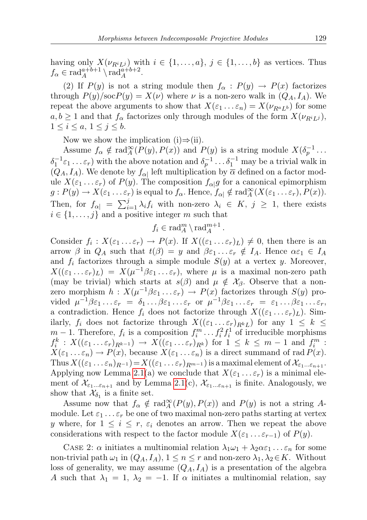having only  $X(\nu_{R^i L^j})$  with  $i \in \{1, ..., a\}, j \in \{1, ..., b\}$  as vertices. Thus  $f_{\alpha} \in \text{rad}_A^{a+b+1} \setminus \text{rad}_A^{a+b+2}.$ 

(2) If  $P(y)$  is not a string module then  $f_{\alpha}: P(y) \to P(x)$  factorizes through  $P(y)/\text{soc}P(y) = X(\nu)$  where  $\nu$  is a non-zero walk in  $(Q_A, I_A)$ . We repeat the above arguments to show that  $X(\varepsilon_1 \dots \varepsilon_n) = X(\nu_{R^a L^b})$  for some  $a, b \geq 1$  and that  $f_{\alpha}$  factorizes only through modules of the form  $X(\nu_{R^i L^j})$ ,  $1 \leq i \leq a, 1 \leq j \leq b.$ 

Now we show the implication (i) $\Rightarrow$ (ii).

Assume  $f_{\alpha} \notin \text{rad}_{A}^{\infty}(P(y), P(x))$  and  $P(y)$  is a string module  $X(\delta_{p}^{-1} \dots)$  $\delta_1^{-1}\varepsilon_1 \ldots \varepsilon_r$ ) with the above notation and  $\delta_p^{-1} \ldots \delta_1^{-1}$  may be a trivial walk in  $(Q_A, I_A)$ . We denote by  $f_{\alpha}$  left multiplication by  $\overline{\alpha}$  defined on a factor module  $X(\varepsilon_1 \ldots \varepsilon_r)$  of  $P(y)$ . The composition  $f_{\alpha|g}$  for a canonical epimorphism  $g: P(y) \to X(\varepsilon_1 \dots \varepsilon_r)$  is equal to  $f_\alpha$ . Hence,  $f_{\alpha \mid} \notin \text{rad}_A^{\infty}(X(\varepsilon_1 \dots \varepsilon_r), P(x)).$ Then, for  $f_{\alpha} = \sum_{i=1}^{j} \lambda_i f_i$  with non-zero  $\lambda_i \in K$ ,  $j \geq 1$ , there exists  $i \in \{1, \ldots, j\}$  and a positive integer m such that

$$
f_i \in \text{rad}_A^m \setminus \text{rad}_A^{m+1} \, .
$$

Consider  $f_i: X(\varepsilon_1 \ldots \varepsilon_r) \to P(x)$ . If  $X((\varepsilon_1 \ldots \varepsilon_r)_L) \neq 0$ , then there is an arrow  $\beta$  in  $Q_A$  such that  $t(\beta) = y$  and  $\beta \varepsilon_1 \dots \varepsilon_r \notin I_A$ . Hence  $\alpha \varepsilon_1 \in I_A$ and  $f_i$  factorizes through a simple module  $S(y)$  at a vertex y. Moreover,  $X((\varepsilon_1 \dots \varepsilon_r)_L) = X(\mu^{-1} \beta \varepsilon_1 \dots \varepsilon_r),$  where  $\mu$  is a maximal non-zero path (may be trivial) which starts at  $s(\beta)$  and  $\mu \notin \mathcal{X}_{\beta}$ . Observe that a nonzero morphism  $h: X(\mu^{-1}\beta\varepsilon_1 \ldots \varepsilon_r) \to P(x)$  factorizes through  $S(y)$  provided  $\mu^{-1}\beta\varepsilon_1\ldots\varepsilon_r = \delta_1\ldots\beta\varepsilon_1\ldots\varepsilon_r$  or  $\mu^{-1}\beta\varepsilon_1\ldots\varepsilon_r = \varepsilon_1\ldots\beta\varepsilon_1\ldots\varepsilon_r$ , a contradiction. Hence  $f_i$  does not factorize through  $X((\varepsilon_1 \ldots \varepsilon_r)_L)$ . Similarly,  $f_i$  does not factorize through  $X((\varepsilon_1 \ldots \varepsilon_r)_{R^kL})$  for any  $1 \leq k \leq$  $m-1$ . Therefore,  $f_i$  is a composition  $f_i^m \dots f_i^2 f_i^1$  of irreducible morphisms  $f_i^k: X((\varepsilon_1 \ldots \varepsilon_r)_{R^{k-1}}) \to X((\varepsilon_1 \ldots \varepsilon_r)_{R^k})$  for  $1 \leq k \leq m-1$  and  $f_i^m$ :  $X(\varepsilon_1 \dots \varepsilon_n) \to P(x)$ , because  $X(\varepsilon_1 \dots \varepsilon_n)$  is a direct summand of rad  $P(x)$ . Thus  $X((\varepsilon_1 \ldots \varepsilon_n)_{R^{-1}})=X((\varepsilon_1 \ldots \varepsilon_r)_{R^{m-1}})$  is a maximal element of  $\mathcal{X}_{\varepsilon_1 \ldots \varepsilon_{n+1}}$ . Applying now Lemma [2.1\(](#page-4-0)a) we conclude that  $X(\varepsilon_1 \dots \varepsilon_r)$  is a minimal element of  $\mathcal{X}_{\varepsilon_1...\varepsilon_{n+1}}$  and by Lemma [2.1\(](#page-4-0)c),  $\mathcal{X}_{\varepsilon_1...\varepsilon_{n+1}}$  is finite. Analogously, we show that  $\mathcal{X}_{\delta_1}$  is a finite set.

Assume now that  $f_{\alpha} \notin \text{rad}_A^{\infty}(P(y), P(x))$  and  $P(y)$  is not a string Amodule. Let  $\varepsilon_1 \ldots \varepsilon_r$  be one of two maximal non-zero paths starting at vertex y where, for  $1 \leq i \leq r$ ,  $\varepsilon_i$  denotes an arrow. Then we repeat the above considerations with respect to the factor module  $X(\varepsilon_1 \ldots \varepsilon_{r-1})$  of  $P(y)$ .

CASE 2:  $\alpha$  initiates a multinomial relation  $\lambda_1\omega_1 + \lambda_2\alpha\varepsilon_1 \ldots \varepsilon_n$  for some non-trivial path  $\omega_1$  in  $(Q_A, I_A)$ ,  $1 \leq n \leq r$  and non-zero  $\lambda_1, \lambda_2 \in K$ . Without loss of generality, we may assume  $(Q_A, I_A)$  is a presentation of the algebra A such that  $\lambda_1 = 1, \lambda_2 = -1$ . If  $\alpha$  initiates a multinomial relation, say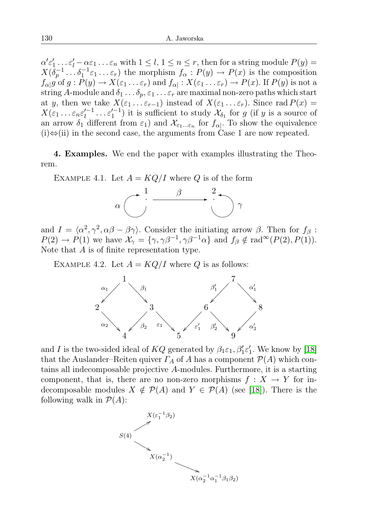$\alpha' \varepsilon_1' \ldots \varepsilon_l' - \alpha \varepsilon_1 \ldots \varepsilon_n$  with  $1 \leq l, 1 \leq n \leq r$ , then for a string module  $P(y) =$  $X(\delta_p^{-1} \dots \delta_1^{-1} \varepsilon_1 \dots \varepsilon_r)$  the morphism  $f_\alpha: P(y) \to P(x)$  is the composition  $f_{\alpha|}g$  of  $g: P(y) \to X(\varepsilon_1 \dots \varepsilon_r)$  and  $f_{\alpha|}: X(\varepsilon_1 \dots \varepsilon_r) \to P(x)$ . If  $P(y)$  is not a string A-module and  $\delta_1 \ldots \delta_p$ ,  $\varepsilon_1 \ldots \varepsilon_r$  are maximal non-zero paths which start at y, then we take  $X(\varepsilon_1 \ldots \varepsilon_{r-1})$  instead of  $X(\varepsilon_1 \ldots \varepsilon_r)$ . Since rad  $P(x) =$  $X(\varepsilon_1 \ldots \varepsilon_n \varepsilon_l^{\prime -1}$  $\ell_l^{l-1} \ldots \epsilon_1^{l-1}$ ) it is sufficient to study  $\mathcal{X}_{\delta_1}$  for g (if y is a source of an arrow  $\delta_1$  different from  $\varepsilon_1$ ) and  $\mathcal{X}_{\varepsilon_1...\varepsilon_n}$  for  $f_{\alpha\vert}$ . To show the equivalence  $(i) \Leftrightarrow$  (ii) in the second case, the arguments from Case 1 are now repeated.

4. Examples. We end the paper with examples illustrating the Theorem.

EXAMPLE 4.1. Let  $A = KQ/I$  where Q is of the form



and  $I = \langle \alpha^2, \gamma^2, \alpha \beta - \beta \gamma \rangle$ . Consider the initiating arrow  $\beta$ . Then for  $f_\beta$ :  $P(2) \to P(1)$  we have  $\mathcal{X}_{\gamma} = {\gamma, \gamma \beta^{-1}, \gamma \beta^{-1} \alpha}$  and  $f_{\beta} \notin \text{rad}^{\infty}(P(2), P(1)).$ Note that A is of finite representation type.

EXAMPLE 4.2. Let  $A = KQ/I$  where Q is as follows:



and I is the two-sided ideal of  $KQ$  generated by  $\beta_1 \varepsilon_1, \beta'_1 \varepsilon'_1$ . We know by [\[18\]](#page-11-10) that the Auslander–Reiten quiver  $\Gamma_A$  of A has a component  $\mathcal{P}(A)$  which contains all indecomposable projective A-modules. Furthermore, it is a starting component, that is, there are no non-zero morphisms  $f: X \to Y$  for indecomposable modules  $X \notin \mathcal{P}(A)$  and  $Y \in \mathcal{P}(A)$  (see [\[18\]](#page-11-10)). There is the following walk in  $\mathcal{P}(A)$ :

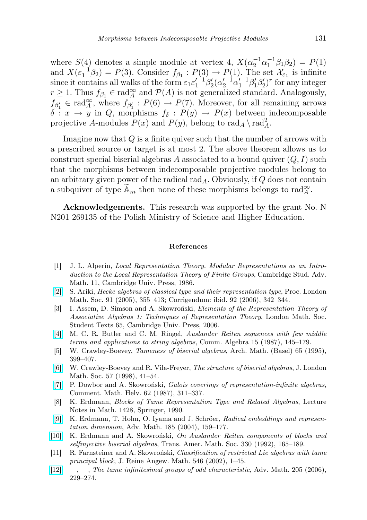where  $S(4)$  denotes a simple module at vertex 4,  $X(\alpha_2^{-1}\alpha_1^{-1}\beta_1\beta_2) = P(1)$ and  $X(\varepsilon_1^{-1}\beta_2) = P(3)$ . Consider  $f_{\beta_1} : P(3) \to P(1)$ . The set  $\mathcal{X}_{\varepsilon_1}$  is infinite since it contains all walks of the form  $\varepsilon_1 \varepsilon_1^{-1} \beta_2' (\alpha_2'^{-1} \alpha_1'^{-1} \beta_1' \beta_2')^r$  for any integer  $r \geq 1$ . Thus  $f_{\beta_1} \in \text{rad}_A^{\infty}$  and  $\mathcal{P}(A)$  is not generalized standard. Analogously,  $f_{\beta'_1} \in \text{rad}_A^{\infty}$ , where  $f_{\beta'_1} : P(6) \to P(7)$ . Moreover, for all remaining arrows  $\delta: x \to y$  in Q, morphisms  $f_{\delta}: P(y) \to P(x)$  between indecomposable projective A-modules  $P(x)$  and  $P(y)$ , belong to  $\text{rad}_A \setminus \text{rad}_A^2$ .

Imagine now that Q is a finite quiver such that the number of arrows with a prescribed source or target is at most 2. The above theorem allows us to construct special biserial algebras A associated to a bound quiver  $(Q, I)$  such that the morphisms between indecomposable projective modules belong to an arbitrary given power of the radical rad<sub>A</sub>. Obviously, if  $Q$  does not contain a subquiver of type  $\widetilde{\mathbb{A}}_m$  then none of these morphisms belongs to  $\text{rad}_{\Lambda}^{\infty}$ .

Acknowledgements. This research was supported by the grant No. N N201 269135 of the Polish Ministry of Science and Higher Education.

## References

- <span id="page-10-0"></span>[1] J. L. Alperin, Local Representation Theory. Modular Representations as an Introduction to the Local Representation Theory of Finite Groups, Cambridge Stud. Adv. Math. 11, Cambridge Univ. Press, 1986.
- <span id="page-10-4"></span>[\[2\]](http://dx.doi.org/10.1112/S0024611505015236) S. Ariki, Hecke algebras of classical type and their representation type, Proc. London Math. Soc. 91 (2005), 355–413; Corrigendum: ibid. 92 (2006), 342–344.
- <span id="page-10-9"></span>[3] I. Assem, D. Simson and A. Skowroński, Elements of the Representation Theory of Associative Algebras 1: Techniques of Representation Theory, London Math. Soc. Student Texts 65, Cambridge Univ. Press, 2006.
- <span id="page-10-5"></span>[\[4\]](http://dx.doi.org/10.1080/00927878708823416) M. C. R. Butler and C. M. Ringel, Auslander–Reiten sequences with few middle terms and applications to string algebras, Comm. Algebra 15 (1987), 145–179.
- <span id="page-10-7"></span>[5] W. Crawley-Boevey, Tameness of biserial algebras, Arch. Math. (Basel) 65 (1995), 399–407.
- [\[6\]](http://dx.doi.org/10.1112/S0024610798005821) W. Crawley-Boevey and R. Vila-Freyer, The structure of biserial algebras, J. London Math. Soc. 57 (1998), 41–54.
- <span id="page-10-6"></span>[\[7\]](http://dx.doi.org/10.1007/BF02564450) P. Dowbor and A. Skowroński, Galois coverings of representation-infinite algebras, Comment. Math. Helv. 62 (1987), 311–337.
- <span id="page-10-1"></span>[8] K. Erdmann, Blocks of Tame Representation Type and Related Algebras, Lecture Notes in Math. 1428, Springer, 1990.
- <span id="page-10-8"></span>[\[9\]](http://dx.doi.org/10.1016/S0001-8708(03)00169-5) K. Erdmann, T. Holm, O. Iyama and J. Schröer, Radical embeddings and representation dimension, Adv. Math. 185 (2004), 159–177.
- [\[10\]](http://dx.doi.org/10.2307/2154159) K. Erdmann and A. Skowroński, On Auslander–Reiten components of blocks and selfinjective biserial algebras, Trans. Amer. Math. Soc. 330 (1992), 165–189.
- <span id="page-10-2"></span>[11] R. Farnsteiner and A. Skowroński, Classification of restricted Lie algebras with tame principal block, J. Reine Angew. Math. 546 (2002), 1–45.
- <span id="page-10-3"></span> $[12] \quad -, [12] \quad -,-$ , The tame infinitesimal groups of odd characteristic, Adv. Math. 205 (2006), 229–274.